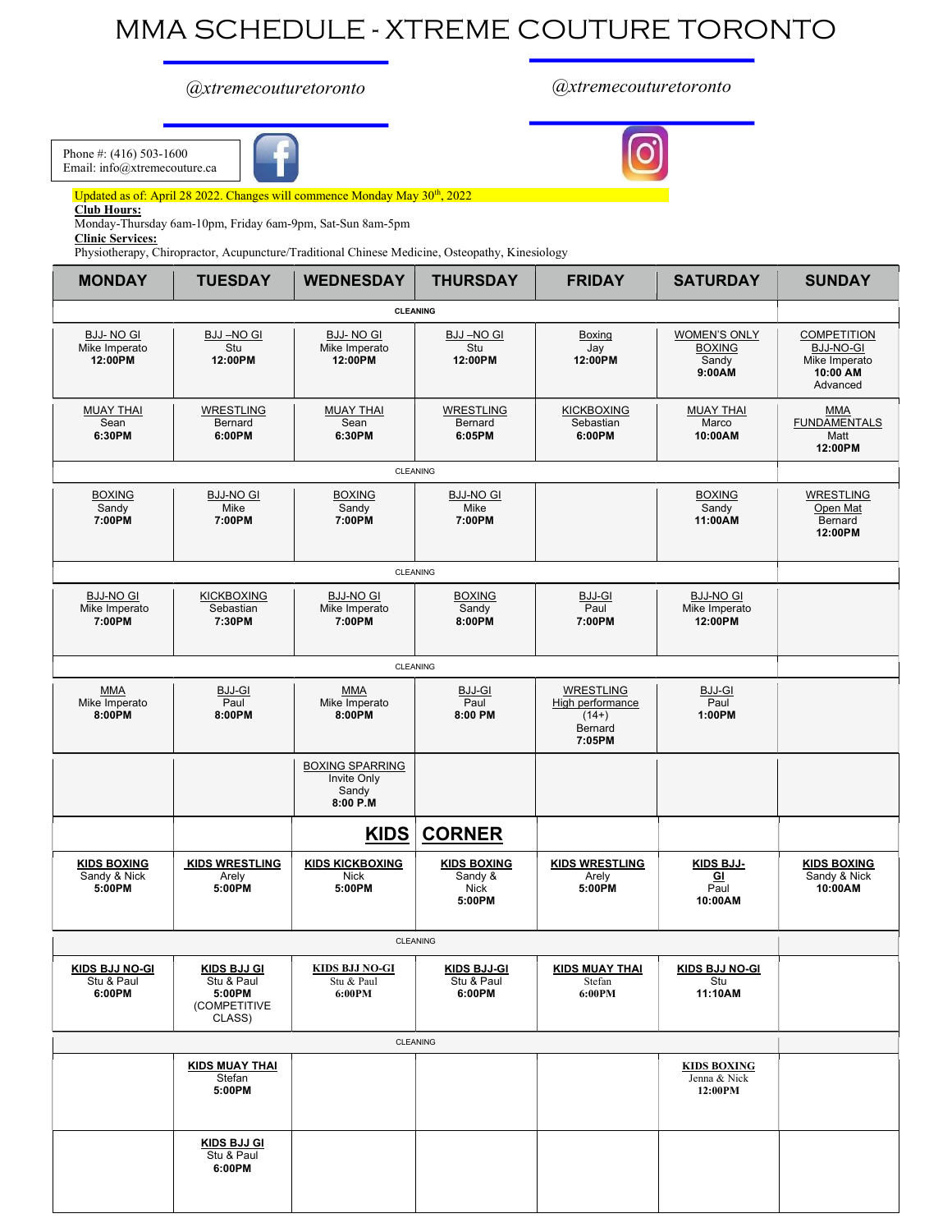## MMA SCHEDULE - XTREME COUTURE TORONTO

## @xtremecouturetoronto @xtremecouturetoronto

Phone #: (416) 503-1600 Email: info@xtremecouture.ca



Updated as of: April 28 2022. Changes will commence Monday May 30<sup>th</sup>, 2022

Club Hours:

Monday-Thursday 6am-10pm, Friday 6am-9pm, Sat-Sun 8am-5pm

Clinic Services:

Physiotherapy, Chiropractor, Acupuncture/Traditional Chinese Medicine, Osteopathy, Kinesiology

| <b>MONDAY</b>                                 | <b>TUESDAY</b>                                                       | <b>WEDNESDAY</b>                                           | <b>THURSDAY</b>                                 | <b>FRIDAY</b>                                                        | <b>SATURDAY</b>                                               | <b>SUNDAY</b>                                                                   |
|-----------------------------------------------|----------------------------------------------------------------------|------------------------------------------------------------|-------------------------------------------------|----------------------------------------------------------------------|---------------------------------------------------------------|---------------------------------------------------------------------------------|
|                                               |                                                                      | <b>CLEANING</b>                                            |                                                 |                                                                      |                                                               |                                                                                 |
| <b>BJJ-NO GI</b><br>Mike Imperato<br>12:00PM  | <b>BJJ-NO GI</b><br>Stu<br>12:00PM                                   | <b>BJJ-NO GI</b><br>Mike Imperato<br>12:00PM               | <b>BJJ-NO GI</b><br>Stu<br>12:00PM              | Boxing<br>Jay<br>12:00PM                                             | <b>WOMEN'S ONLY</b><br><b>BOXING</b><br>Sandy<br>9:00AM       | <b>COMPETITION</b><br><b>BJJ-NO-GL</b><br>Mike Imperato<br>10:00 AM<br>Advanced |
| <b>MUAY THAI</b><br>Sean<br>6:30PM            | <b>WRESTLING</b><br>Bernard<br>6:00PM                                | <b>MUAY THAI</b><br>Sean<br>6:30PM                         | <b>WRESTLING</b><br>Bernard<br>6:05PM           | <b>KICKBOXING</b><br>Sebastian<br>6:00PM                             | <b>MUAY THAI</b><br>Marco<br>10:00AM                          | MMA<br>FUNDAMENTALS<br>Matt<br>12:00PM                                          |
|                                               |                                                                      | CLEANING                                                   |                                                 |                                                                      |                                                               |                                                                                 |
| <b>BOXING</b><br>Sandy<br>7:00PM              | <b>BJJ-NO GI</b><br>Mike<br>7:00PM                                   | <b>BOXING</b><br>Sandy<br>7:00PM                           | <b>BJJ-NO GI</b><br>Mike<br>7:00PM              |                                                                      | <b>BOXING</b><br>Sandy<br>11:00AM                             | <b>WRESTLING</b><br>Open Mat<br>Bernard<br>12:00PM                              |
|                                               |                                                                      | CLEANING                                                   |                                                 |                                                                      |                                                               |                                                                                 |
| <b>BJJ-NO GI</b><br>Mike Imperato<br>7:00PM   | <b>KICKBOXING</b><br>Sebastian<br>7:30PM                             | <b>BJJ-NO GI</b><br>Mike Imperato<br>7:00PM                | <b>BOXING</b><br>Sandy<br>8:00PM                | BJJ-GI<br>Paul<br>7:00PM                                             | <b>BJJ-NO GI</b><br>Mike Imperato<br>12:00PM                  |                                                                                 |
|                                               |                                                                      | CLEANING                                                   |                                                 |                                                                      |                                                               |                                                                                 |
| <b>MMA</b><br>Mike Imperato<br>8:00PM         | BJJ-GI<br>Paul<br>8:00PM                                             | <b>MMA</b><br>Mike Imperato<br>8:00PM                      | BJJ-GI<br>Paul<br>8:00 PM                       | <b>WRESTLING</b><br>High performance<br>$(14+)$<br>Bernard<br>7:05PM | $\underbrace{\mathsf{BJJ\text{-}GI}}_\mathsf{Paul}$<br>1:00PM |                                                                                 |
|                                               |                                                                      | <b>BOXING SPARRING</b><br>Invite Only<br>Sandy<br>8:00 P.M |                                                 |                                                                      |                                                               |                                                                                 |
|                                               |                                                                      | KIDS                                                       | <b>CORNER</b>                                   |                                                                      |                                                               |                                                                                 |
| <b>KIDS BOXING</b><br>Sandy & Nick<br>5:00PM  | <b>KIDS WRESTLING</b><br>Arely<br>5:00PM                             | <b>KIDS KICKBOXING</b><br>Nick<br>5:00PM                   | <b>KIDS BOXING</b><br>Sandy &<br>Nick<br>5:00PM | <b>KIDS WRESTLING</b><br>Arely<br>5:00PM                             | KIDS BJJ-<br>$\overline{\mathbf{G}}$<br>Paul<br>10:00AM       | <b>KIDS BOXING</b><br>Sandy & Nick<br>10:00AM                                   |
|                                               |                                                                      | CLEANING                                                   |                                                 |                                                                      |                                                               |                                                                                 |
| <b>KIDS BJJ NO-GI</b><br>Stu & Paul<br>6:00PM | <b>KIDS BJJ GI</b><br>Stu & Paul<br>5:00PM<br>(COMPETITIVE<br>CLASS) | <b>KIDS BJJ NO-GI</b><br>Stu & Paul<br>6:00PM              | <b>KIDS BJJ-GI</b><br>Stu & Paul<br>6:00PM      | <b>KIDS MUAY THAI</b><br>Stefan<br>6:00PM                            | <b>KIDS BJJ NO-GI</b><br>Stu<br>11:10AM                       |                                                                                 |
|                                               |                                                                      | CLEANING                                                   |                                                 |                                                                      |                                                               |                                                                                 |
|                                               | <b>KIDS MUAY THAI</b><br>Stefan<br>5:00PM                            |                                                            |                                                 |                                                                      | <b>KIDS BOXING</b><br>Jenna & Nick<br>12:00PM                 |                                                                                 |
|                                               | <b>KIDS BJJ GI</b><br>Stu & Paul<br>6:00PM                           |                                                            |                                                 |                                                                      |                                                               |                                                                                 |